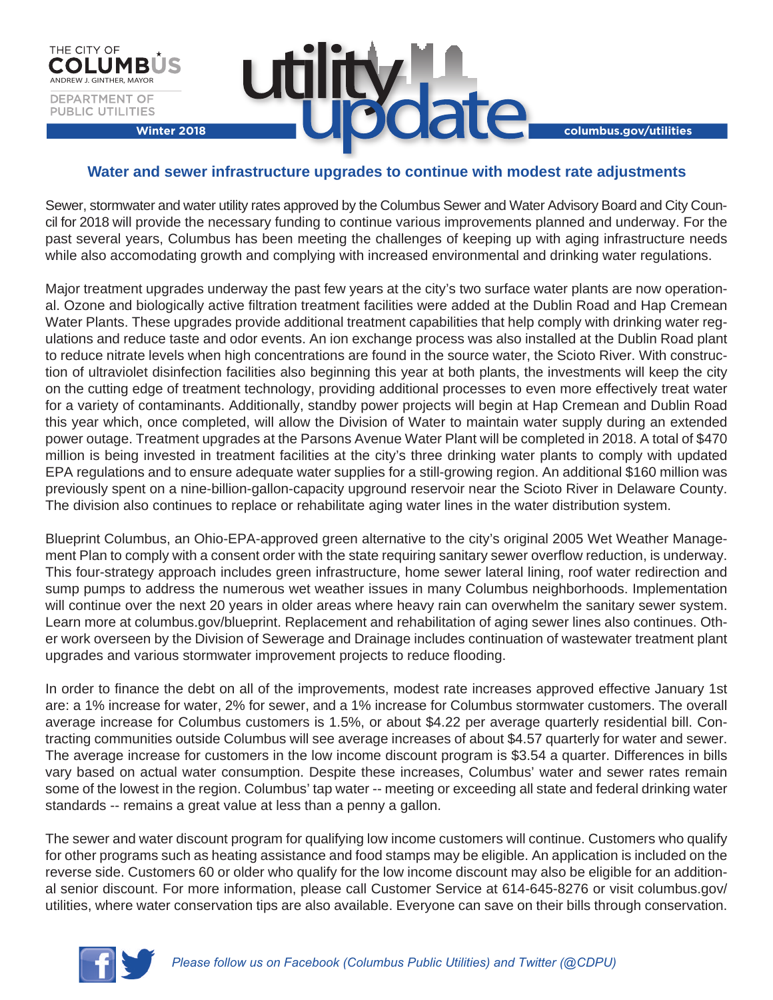

## **Water and sewer infrastructure upgrades to continue with modest rate adjustments**

**utili** 

Sewer, stormwater and water utility rates approved by the Columbus Sewer and Water Advisory Board and City Council for 2018 will provide the necessary funding to continue various improvements planned and underway. For the past several years, Columbus has been meeting the challenges of keeping up with aging infrastructure needs while also accomodating growth and complying with increased environmental and drinking water regulations.

Major treatment upgrades underway the past few years at the city's two surface water plants are now operational. Ozone and biologically active filtration treatment facilities were added at the Dublin Road and Hap Cremean Water Plants. These upgrades provide additional treatment capabilities that help comply with drinking water regulations and reduce taste and odor events. An ion exchange process was also installed at the Dublin Road plant to reduce nitrate levels when high concentrations are found in the source water, the Scioto River. With construction of ultraviolet disinfection facilities also beginning this year at both plants, the investments will keep the city on the cutting edge of treatment technology, providing additional processes to even more effectively treat water for a variety of contaminants. Additionally, standby power projects will begin at Hap Cremean and Dublin Road this year which, once completed, will allow the Division of Water to maintain water supply during an extended power outage. Treatment upgrades at the Parsons Avenue Water Plant will be completed in 2018. A total of \$470 million is being invested in treatment facilities at the city's three drinking water plants to comply with updated EPA regulations and to ensure adequate water supplies for a still-growing region. An additional \$160 million was previously spent on a nine-billion-gallon-capacity upground reservoir near the Scioto River in Delaware County. The division also continues to replace or rehabilitate aging water lines in the water distribution system.

Blueprint Columbus, an Ohio-EPA-approved green alternative to the city's original 2005 Wet Weather Management Plan to comply with a consent order with the state requiring sanitary sewer overflow reduction, is underway. This four-strategy approach includes green infrastructure, home sewer lateral lining, roof water redirection and sump pumps to address the numerous wet weather issues in many Columbus neighborhoods. Implementation will continue over the next 20 years in older areas where heavy rain can overwhelm the sanitary sewer system. Learn more at columbus.gov/blueprint. Replacement and rehabilitation of aging sewer lines also continues. Other work overseen by the Division of Sewerage and Drainage includes continuation of wastewater treatment plant upgrades and various stormwater improvement projects to reduce flooding.

In order to finance the debt on all of the improvements, modest rate increases approved effective January 1st are: a 1% increase for water, 2% for sewer, and a 1% increase for Columbus stormwater customers. The overall average increase for Columbus customers is 1.5%, or about \$4.22 per average quarterly residential bill. Contracting communities outside Columbus will see average increases of about \$4.57 quarterly for water and sewer. The average increase for customers in the low income discount program is \$3.54 a quarter. Differences in bills vary based on actual water consumption. Despite these increases, Columbus' water and sewer rates remain some of the lowest in the region. Columbus' tap water -- meeting or exceeding all state and federal drinking water standards -- remains a great value at less than a penny a gallon.

The sewer and water discount program for qualifying low income customers will continue. Customers who qualify for other programs such as heating assistance and food stamps may be eligible. An application is included on the reverse side. Customers 60 or older who qualify for the low income discount may also be eligible for an additional senior discount. For more information, please call Customer Service at 614-645-8276 or visit columbus.gov/ utilities, where water conservation tips are also available. Everyone can save on their bills through conservation.



ANDREW J. GINTHER, MAYOR

DEPARTMENT OF **PUBLIC UTILITIES** 

THE CITY OF